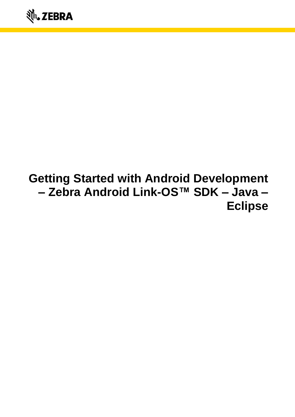# **Getting Started with Android Development – Zebra Android Link-OS™ SDK – Java – Eclipse**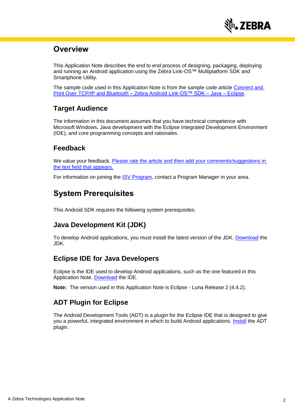

# **Overview**

This Application Note describes the end to end process of designing, packaging, deploying and running an Android application using the Zebra Link-OS™ Multiplatform SDK and Smartphone Utility.

The sample code used in this Application Note is from the sample code article [Connect and](https://km.zebra.com/kb/index?page=content&id=SA137)  [Print Over TCP/IP and Bluetooth –](https://km.zebra.com/kb/index?page=content&id=SA137) Zebra Android Link-OS™ SDK – Java – Eclipse.

### **Target Audience**

The information in this document assumes that you have technical competence with Microsoft Windows, Java development with the Eclipse Integrated Development Environment (IDE), and core programming concepts and rationales.

### **Feedback**

We value your feedback. Please rate the article and then add your comments/suggestions in [the text field that appears.](https://km.zebra.com/kb/index?page=content&id=WH62&actp=LIST#rate)

For information on joining the [ISV Program,](http://www.zebra.com/isv) contact a Program Manager in your area.

# **System Prerequisites**

This Android SDK requires the following system prerequisites.

### **Java Development Kit (JDK)**

To develop Android applications, you must install the latest version of the JDK. [Download](http://www.oracle.com/technetwork/java/javase/downloads/index.html) the JDK.

### **Eclipse IDE for Java Developers**

Eclipse is the IDE used to develop Android applications, such as the one featured in this Application Note. [Download](https://www.eclipse.org/downloads/) the IDE.

**Note:** The version used in this Application Note is Eclipse - Luna Release 2 (4.4.2).

### **ADT Plugin for Eclipse**

The Android Development Tools (ADT) is a plugin for the Eclipse IDE that is designed to give you a powerful, integrated environment in which to build Android applications. **[Install](http://developer.android.com/sdk/eclipse-adt.html#installing)** the ADT plugin.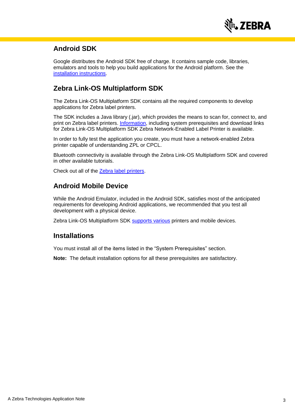

### **Android SDK**

Google distributes the Android SDK free of charge. It contains sample code, libraries, emulators and tools to help you build applications for the Android platform. See the [installation instructions.](http://developer.android.com/sdk/installing.html)

### **Zebra Link-OS Multiplatform SDK**

The Zebra Link-OS Multiplatform SDK contains all the required components to develop applications for Zebra label printers.

The SDK includes a Java library (.jar), which provides the means to scan for, connect to, and print on Zebra label printers. [Information,](https://www.zebra.com/us/en/products/software/barcode-printers/link-os/link-os-sdk.html#mainpartabscontainer_794f=downloads) including system prerequisites and download links for Zebra Link-OS Multiplatform SDK Zebra Network-Enabled Label Printer is available.

In order to fully test the application you create, you must have a network-enabled Zebra printer capable of understanding ZPL or CPCL.

Bluetooth connectivity is available through the Zebra Link-OS Multiplatform SDK and covered in other available tutorials.

Check out all of the [Zebra label printers.](https://www.zebra.com/us/en/products/printers.html)

### **Android Mobile Device**

While the Android Emulator, included in the Android SDK, satisfies most of the anticipated requirements for developing Android applications, we recommended that you test all development with a physical device.

Zebra Link-OS Multiplatform SDK [supports various](https://www.zebra.com/us/en/products/software/barcode-printers/link-os.html#modalcontent_2179_data) printers and mobile devices.

#### **Installations**

You must install all of the items listed in the "System Prerequisites" section.

**Note:** The default installation options for all these prerequisites are satisfactory.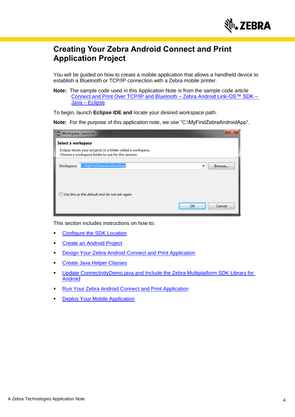

# **Creating Your Zebra Android Connect and Print Application Project**

You will be guided on how to create a mobile application that allows a handheld device to establish a Bluetooth or TCP/IP connection with a Zebra mobile printer.

**Note:** The sample code used in this Application Note is from the sample code article [Connect and Print Over TCP/IP and Bluetooth –](https://km.zebra.com/kb/index?page=content&id=SA137) Zebra Android Link-OS™ SDK – Java – [Eclipse.](https://km.zebra.com/kb/index?page=content&id=SA137)

To begin, launch **Eclipse IDE and** locate your desired workspace path.

**Note:** For the purpose of this application note, we use "C:\MyFirstZebraAndroidApp".

| Workspace Launcher                                                                                                 |  |  |  |  |
|--------------------------------------------------------------------------------------------------------------------|--|--|--|--|
| Select a workspace                                                                                                 |  |  |  |  |
| Eclipse stores your projects in a folder called a workspace.<br>Choose a workspace folder to use for this session. |  |  |  |  |
| C:\MyFirstZebraAndroidApp<br>Workspace:<br>Browse<br>▼                                                             |  |  |  |  |
| Use this as the default and do not ask again<br>OK<br>Cancel                                                       |  |  |  |  |

This section includes instructions on how to:

- [Configure the SDK Location](#page-3-0)
- [Create an Android Project](#page-4-0)
- [Design Your Zebra Android Connect and Print Application](#page-6-0)
- [Create Java Helper Classes](#page-6-1)
- [Update ConnectivityDemo.java and Include the Zebra Multiplatform SDK Library for](#page-7-0)  **[Android](#page-7-0)**
- [Run Your Zebra Android Connect and Print Application](#page-9-0)
- <span id="page-3-0"></span>**[Deploy Your Mobile](#page-11-0) Application**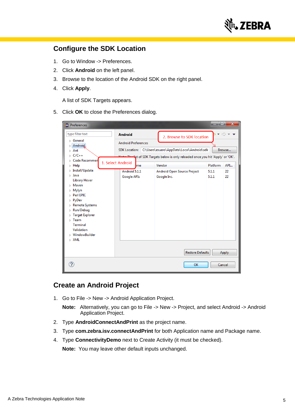

### **Configure the SDK Location**

- 1. Go to Window -> Preferences.
- 2. Click **Android** on the left panel.
- 3. Browse to the location of the Android SDK on the right panel.
- 4. Click **Apply**.

A list of SDK Targets appears.

5. Click **OK** to close the Preferences dialog.

| Preferences                                                                                                                                                                                                                                                                                                                    |                                                                                           |                                                                                                                                                      |                         | <u>este</u>    | $\mathbf{x}$ |
|--------------------------------------------------------------------------------------------------------------------------------------------------------------------------------------------------------------------------------------------------------------------------------------------------------------------------------|-------------------------------------------------------------------------------------------|------------------------------------------------------------------------------------------------------------------------------------------------------|-------------------------|----------------|--------------|
| type filter text<br>⊳ General<br>$\triangleright$ Android<br>Ant<br>D.<br>$\triangleright$ C/C++<br><b>Code Recommen</b>                                                                                                                                                                                                       | <b>Android</b><br><b>Android Preferences</b><br><b>SDK</b> Location:<br>1. Select Android | 2. Browse to SDK location<br>C:\Users\esuero\AppData\Local\Android\sdk<br>- "ist of SDK Targets below is only reloaded once you hit 'Apply' or 'OK'. |                         |                | Browse       |
| $\triangleright$ Help<br>$\triangleright$ Install/Update                                                                                                                                                                                                                                                                       | me                                                                                        | Vendor                                                                                                                                               |                         | Platform       | API          |
| $\triangleright$ Java<br><b>Library Hover</b><br>$\triangleright$ Maven<br>$\triangleright$ Mylyn<br><b>Perl EPIC</b><br>И<br>PyDev<br>D.<br><b>Remote Systems</b><br>Run/Debug<br>D.<br><b>Target Explorer</b><br>D<br>$\triangleright$ Team<br><b>Terminal</b><br>Validation<br><b>MindowBuilder</b><br>$\triangleright$ XML | Android 5.1.1<br><b>Google APIs</b>                                                       | <b>Android Open Source Project</b><br>Google Inc.                                                                                                    |                         | 5.1.1<br>5.1.1 | 22<br>22     |
|                                                                                                                                                                                                                                                                                                                                |                                                                                           |                                                                                                                                                      | <b>Restore Defaults</b> |                | Apply        |
|                                                                                                                                                                                                                                                                                                                                |                                                                                           |                                                                                                                                                      | OK                      |                | Cancel       |

### <span id="page-4-0"></span>**Create an Android Project**

1. Go to File -> New -> Android Application Project.

**Note:** Alternatively, you can go to File -> New -> Project, and select Android -> Android Application Project.

- 2. Type **AndroidConnectAndPrint** as the project name.
- 3. Type **com.zebra.isv.connectAndPrint** for both Application name and Package name.
- 4. Type **ConnectivityDemo** next to Create Activity (it must be checked).

**Note:** You may leave other default inputs unchanged.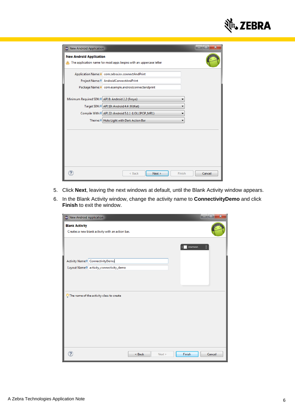

| $\overline{\mathbf{x}}$<br>o<br>New Android Application |                                                                    |        |  |  |  |
|---------------------------------------------------------|--------------------------------------------------------------------|--------|--|--|--|
| <b>New Android Application</b>                          | The application name for most apps begins with an uppercase letter |        |  |  |  |
|                                                         | Application Name: 6 com.zebra.isv.connectAndPrint                  |        |  |  |  |
|                                                         | Project Name: 0 AndroidConnectAndPrint                             |        |  |  |  |
|                                                         | Package Name: 6 com.example.androidconnectandprint                 |        |  |  |  |
|                                                         |                                                                    |        |  |  |  |
| Minimum Required SDK: 0 API 8: Android 2.2 (Froyo)      |                                                                    |        |  |  |  |
|                                                         | Target SDK: 0 API 19: Android 4.4 (KitKat)                         |        |  |  |  |
|                                                         | Compile With: 0 API 22: Android 5.1.1 (LOLLIPOP_MR1)               |        |  |  |  |
|                                                         | Theme: <sup>0</sup> Holo Light with Dark Action Bar                |        |  |  |  |
|                                                         |                                                                    |        |  |  |  |
|                                                         |                                                                    |        |  |  |  |
|                                                         |                                                                    |        |  |  |  |
|                                                         |                                                                    |        |  |  |  |
|                                                         |                                                                    |        |  |  |  |
|                                                         |                                                                    |        |  |  |  |
|                                                         | Next<br>Finish<br>< Back                                           | Cancel |  |  |  |

- 5. Click **Next**, leaving the next windows at default, until the Blank Activity window appears.
- 6. In the Blank Activity window, change the activity name to **ConnectivityDemo** and click **Finish** to exit the window.

| New Android Application                                                   | x<br>Θ. |
|---------------------------------------------------------------------------|---------|
| <b>Blank Activity</b><br>Creates a new blank activity with an action bar. |         |
| $\blacksquare$ www.                                                       |         |
| Activity Name® ConnectivityDemo                                           |         |
| Layout Name <sup>®</sup> activity_connectivity_demo                       |         |
|                                                                           |         |
|                                                                           |         |
| $\sqrt{2}$ The name of the activity class to create                       |         |
| Finish<br>< Back<br>Next >                                                | Cancel  |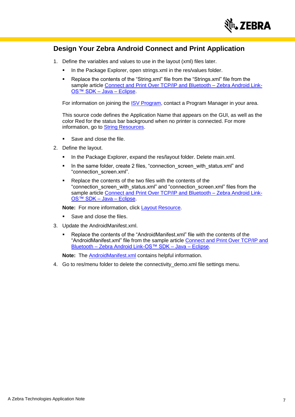

### <span id="page-6-0"></span>**Design Your Zebra Android Connect and Print Application**

- 1. Define the variables and values to use in the layout (xml) files later.
	- In the Package Explorer, open strings.xml in the res/values folder.
	- Replace the contents of the "String.xml" file from the "Strings.xml" file from the sample article Connect and Print Over TCP/IP and Bluetooth - Zebra Android Link-[OS™ SDK –](https://km.zebra.com/kb/index?page=content&id=SA137) Java – Eclipse.

For information on joining the [ISV Program,](http://www.zebra.com/isv) contact a Program Manager in your area.

This source code defines the Application Name that appears on the GUI, as well as the color Red for the status bar background when no printer is connected. For more information, go to **String Resources**.

- Save and close the file.
- 2. Define the layout.
	- In the Package Explorer, expand the res/layout folder. Delete main.xml.
	- In the same folder, create 2 files, "connection screen with status.xml" and "connection\_screen.xml".
	- Replace the contents of the two files with the contents of the "connection\_screen\_with\_status.xml" and "connection\_screen.xml" files from the sample article [Connect and Print Over TCP/IP and Bluetooth –](https://km.zebra.com/kb/index?page=content&id=SA137) Zebra Android Link-[OS™ SDK –](https://km.zebra.com/kb/index?page=content&id=SA137) Java – Eclipse.

**Note:** For more information, click [Layout Resource.](http://developer.android.com/guide/topics/resources/layout-resource.html)

- Save and close the files.
- 3. Update the AndroidManifest.xml.
	- Replace the contents of the "AndroidManifest.xml" file with the contents of the "AndroidManifest.xml" file from the sample article Connect and Print Over TCP/IP and Bluetooth – [Zebra Android Link-OS™ SDK –](https://km.zebra.com/kb/index?page=content&id=SA137) Java – Eclipse.

**Note:** The [AndroidManifest.xml](http://developer.android.com/guide/topics/manifest/manifest-intro.html) contains helpful information.

<span id="page-6-1"></span>4. Go to res/menu folder to delete the connectivity\_demo.xml file settings menu.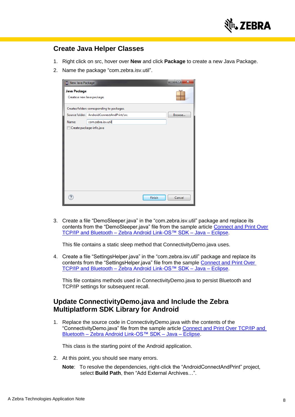

### **Create Java Helper Classes**

- 1. Right click on src, hover over **New** and click **Package** to create a new Java Package.
- 2. Name the package "com.zebra.isv.util".



3. Create a file "DemoSleeper.java" in the "com.zebra.isv.util" package and replace its contents from the "DemoSleeper.java" file from the sample article Connect and Print Over TCP/IP and Bluetooth – [Zebra Android Link-OS™ SDK –](https://km.zebra.com/kb/index?page=content&id=SA137) Java – Eclipse.

This file contains a static sleep method that ConnectivityDemo.java uses.

4. Create a file "SettingsHelper.java" in the "com.zebra.isv.util" package and replace its contents from the "SettingsHelper.java" file from the sample [Connect and Print Over](https://km.zebra.com/kb/index?page=content&id=SA137)  TCP/IP and Bluetooth – [Zebra Android Link-OS™ SDK –](https://km.zebra.com/kb/index?page=content&id=SA137) Java – Eclipse.

This file contains methods used in ConnectivityDemo.java to persist Bluetooth and TCP/IP settings for subsequent recall.

### <span id="page-7-0"></span>**Update ConnectivityDemo.java and Include the Zebra Multiplatform SDK Library for Android**

1. Replace the source code in ConnectivityDemo.java with the contents of the "ConnectivityDemo.java" file from the sample article [Connect and Print Over TCP/IP and](https://km.zebra.com/kb/index?page=content&id=SA137)  Bluetooth – [Zebra Android Link-OS™ SDK –](https://km.zebra.com/kb/index?page=content&id=SA137) Java – Eclipse.

This class is the starting point of the Android application.

- 2. At this point, you should see many errors.
	- **Note:** To resolve the dependencies, right-click the "AndroidConnectAndPrint" project, select **Build Path**, then "Add External Archives…".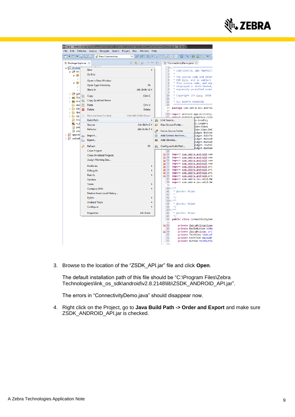

|                                                     |                            | Java - AndroidConnectAndPrint/src/com/zebra/isv/androidconnectandprint/ConnectivityDemo.java - Eclipse |                                           |                       |                                                                                                                                                                                                                                                              |
|-----------------------------------------------------|----------------------------|--------------------------------------------------------------------------------------------------------|-------------------------------------------|-----------------------|--------------------------------------------------------------------------------------------------------------------------------------------------------------------------------------------------------------------------------------------------------------|
| File<br>Edit                                        | Refactor                   | Source Navigate Search                                                                                 | Project Run<br>Window                     | Help                  |                                                                                                                                                                                                                                                              |
|                                                     |                            | ▼ 합 ▼ 넓 噫 色 !<br>New Connection                                                                        | 配料炉<br>N<br>N<br>$\overline{\phantom{a}}$ |                       | ◢♥▣Π┆U┆N┆ <del>Ö</del> M┊◘▾                                                                                                                                                                                                                                  |
| ■ Package Explorer ※                                |                            |                                                                                                        | 口 写<br>$\qquad \qquad \Box$<br>ã9         | ⊟                     | J *ConnectivityDemo.java &                                                                                                                                                                                                                                   |
| Android<br><sup>(典</sup> src<br>◢₩                  |                            | <b>New</b><br>Go Into                                                                                  | ٠                                         |                       | ***********<br>$1 \ominus I$<br>$\overline{a}$<br>CONFIDENTIAL AND PROPRIET.<br>3                                                                                                                                                                            |
| ⊞<br>◢                                              | $\triangleright$<br>Þ<br>Þ | Open in New Window<br>Open Type Hierarchy<br>Show In                                                   | F4<br>Alt+Shift+W ▶                       |                       | 4<br>The source code and other<br>5<br>ZIH Corp. and is subject<br>* This source code, and any<br>6<br>7<br>* displayed or distributed,<br>8<br>expressly permitted under                                                                                    |
| <u> ま gen</u><br>Þ<br>$\equiv$ God<br><b>EA</b> And | 手                          | Copy<br><b>Copy Qualified Name</b>                                                                     | $Ctrl + C$                                |                       | 9<br>10<br>Copyright ZIH Corp. 2010<br>11<br>12<br>ALL RIGHTS RESERVED                                                                                                                                                                                       |
| <u>ြာ asse</u><br>உ bin<br>b<br>உ libs              | ĪŦ<br>S                    | Paste<br>Delete                                                                                        | $Ctrl + V$<br>Delete                      |                       | ********************<br>13<br>14<br>package com.zebra.isv.androi<br>15                                                                                                                                                                                       |
| $\overline{D}$<br>உ res                             | €                          | <b>Remove from Context</b>                                                                             | Ctrl+Alt+Shift+Down                       |                       | 16⊖ import android.app.Activity;<br>17<br>import android graphics.Colo                                                                                                                                                                                       |
| <b>C</b> And                                        |                            | <b>Build Path</b>                                                                                      | ٠                                         | 襊                     | Link Source<br>)s.Bundle;                                                                                                                                                                                                                                    |
| na ic li<br>pro                                     |                            | Source                                                                                                 | Alt+Shift+S ▶                             | €                     | is.Looper;<br>New Source Folder<br>iew.View;                                                                                                                                                                                                                 |
| B                                                   | pro                        | Refactor                                                                                               | Alt+Shift+T)                              | C <sup>#}</sup>       | riew.View.OnC<br>Use as Source Folder<br>ridget.Button                                                                                                                                                                                                       |
| $\triangleright$ $\mathbb{R}^2$ appcor<br>sadsada   |                            | Import<br>Export                                                                                       |                                           | $\overline{010}$<br>ᆋ | Add External Archives<br>ridget.EditTe<br>ridget.RadioB<br>Add Libraries                                                                                                                                                                                     |
|                                                     |                            |                                                                                                        |                                           |                       | ridget.RadioG<br>ridget.TextVi                                                                                                                                                                                                                               |
|                                                     | چي                         | Refresh<br><b>Close Project</b><br><b>Close Unrelated Projects</b><br>Assign Working Sets              | F5                                        | 嬎                     | Configure Build Path<br>ridget.RadioG<br>28<br>29<br>import com.zebra.android.com<br>import com.zebra.android.com<br>30<br>import com.zebra.android.com<br>31                                                                                                |
|                                                     |                            | <b>Profile As</b><br>Debua As<br><b>Run As</b><br>Validate                                             |                                           |                       | import com.zebra.android.com<br>₩ 32<br>$\sqrt{3}$ 33<br>import com.zebra.android.pri<br>import com.zebra.android.pri<br>图 34<br>import com.zebra.android.pri<br><b>GB</b> 35<br>■ 36<br>import com.zebra.android.pri<br>import com.zebra.isv.util.Dem<br>37 |
|                                                     |                            | Team                                                                                                   |                                           |                       | 38<br>import com.zebra.isv.util.Se<br>39<br>$400/$ **                                                                                                                                                                                                        |
|                                                     |                            | <b>Compare With</b><br>Restore from Local History                                                      |                                           |                       | ×<br>41<br><b>@author MLim3</b><br>42<br>$*$<br>43                                                                                                                                                                                                           |
|                                                     |                            | PyDev<br><b>Android Tools</b>                                                                          |                                           |                       | $440/**$                                                                                                                                                                                                                                                     |
|                                                     |                            | Configure                                                                                              |                                           |                       | ×<br>45<br>@author MLim3<br>$*$<br>46                                                                                                                                                                                                                        |
|                                                     |                            | Properties                                                                                             | Alt+Enter                                 |                       | $470/$ **<br>48<br>@author MLim3                                                                                                                                                                                                                             |
|                                                     |                            |                                                                                                        |                                           |                       | $*$<br>49<br>public class ConnectivityDem<br>50<br>51                                                                                                                                                                                                        |
|                                                     |                            |                                                                                                        |                                           |                       | <b>Ca</b> 52<br>private ZebnaPrintenConn<br>53<br>private RadioButton btRa<br><b>B</b> 54<br>private ZebnaPninten pri<br>private TextView statusF<br>55<br>56<br>private EditText macAddr<br>57<br>private Button testButto                                  |
|                                                     |                            |                                                                                                        |                                           |                       | 58                                                                                                                                                                                                                                                           |

3. Browse to the location of the "ZSDK\_API.jar" file and click **Open**.

The default installation path of this file should be "C:\Program Files\Zebra Technologies\link\_os\_sdk\android\v2.8.2148\lib\ZSDK\_ANDROID\_API.jar".

The errors in "ConnectivityDemo.java" should disappear now.

4. Right click on the Project, go to **Java Build Path -> Order and Export** and make sure ZSDK\_ANDROID\_API.jar is checked.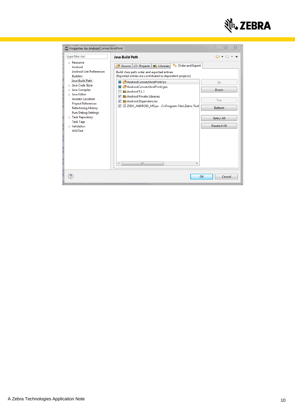

<span id="page-9-0"></span>

| Properties for AndroidConnectAndPrint                                                                                                                                                                                                                                                                                                                                                       |                                                                                                                                                                                                                                                                                                                                                                                                                                                                                     | $\Sigma$<br>$\Box$                                                      |
|---------------------------------------------------------------------------------------------------------------------------------------------------------------------------------------------------------------------------------------------------------------------------------------------------------------------------------------------------------------------------------------------|-------------------------------------------------------------------------------------------------------------------------------------------------------------------------------------------------------------------------------------------------------------------------------------------------------------------------------------------------------------------------------------------------------------------------------------------------------------------------------------|-------------------------------------------------------------------------|
| type filter text                                                                                                                                                                                                                                                                                                                                                                            | <b>Java Build Path</b>                                                                                                                                                                                                                                                                                                                                                                                                                                                              | $\Leftrightarrow \bullet \Leftrightarrow \bullet$                       |
| $\triangleright$ Resource<br>Android<br><b>Android Lint Preferences</b><br><b>Builders</b><br>Java Build Path<br>> Java Code Style<br>$\triangleright$ Java Compiler<br>Java Editor<br>Javadoc Location<br><b>Project References</b><br>Refactoring History<br><b>Run/Debug Settings</b><br>$\triangleright$ Task Repository<br><b>Task Tags</b><br>$\triangleright$ Validation<br>WikiText | $\stackrel{\Phi_{\rm O}}{\leadsto}$ Order and Export<br>Projects <b>A</b> Libraries<br><b><sup>(2)</sup></b> Source<br>Build class path order and exported entries:<br>(Exported entries are contributed to dependent projects)<br>四 AndroidConnectAndPrint/src<br><b>参AndroidConnectAndPrint/gen</b><br>$\blacksquare$ Android 5.1.1<br>Android Private Libraries<br>Android Dependencies<br>V<br>ZSDK_ANDROID_API.jar - C:\Program Files\Zebra Tech<br>$\sqrt{}$<br>Ш<br>€.<br>Þ. | Up<br>Down<br>Top<br><b>Bottom</b><br>Select All<br><b>Deselect All</b> |
|                                                                                                                                                                                                                                                                                                                                                                                             | OK                                                                                                                                                                                                                                                                                                                                                                                                                                                                                  | Cancel                                                                  |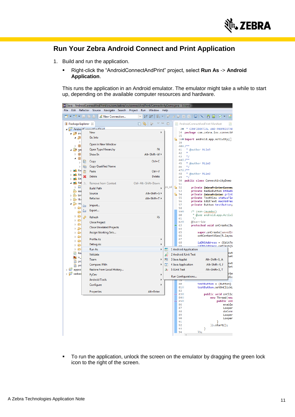

# **Run Your Zebra Android Connect and Print Application**

- 1. Build and run the application.
	- Right-click the "AndroidConnectAndPrint" project, select **Run As** -> **Android Application**.

This runs the application in an Android emulator. The emulator might take a while to start up, depending on the available computer resources and hardware.

|                                               | Java - AndroidConnectAndPrint/src/com/zebra/isv/connectAndPrint/ConnectivityDemo.java - Eclipse |                                 |                |                                                                            |
|-----------------------------------------------|-------------------------------------------------------------------------------------------------|---------------------------------|----------------|----------------------------------------------------------------------------|
| File                                          | Edit Refactor Source Navigate Search                                                            | Project Run<br>Window Help      |                |                                                                            |
| d - B - H G + :                               | New Connection                                                                                  | N N<br>$\overline{\phantom{a}}$ |                | Etip Jə Etibisin Bid tid                                                   |
| Package Explorer 83                           |                                                                                                 | $\sim$ $\equiv$<br>日暮<br>ĩ9     | 目              | C AndroidConnectAndPrint Manifest<br>la)                                   |
| 4 <b>AndroidConnoctAndDrint</b>               |                                                                                                 |                                 |                | 20 * CONFIDENTIAL AND PROPRIETAR                                           |
| ⊿ <sup>●</sup> src                            | New                                                                                             | k                               |                | 14 package com.zebra.isv.connectA                                          |
| ◢串                                            | Go Into                                                                                         |                                 |                | 15<br>$\mathcal{N}$ 160 import android.app.Activity;                       |
| Þ                                             | Open in New Window                                                                              |                                 |                | 39                                                                         |
| H<br>$\triangleright$<br>4 2≢                 | Open Type Hierarchy                                                                             | F4                              |                | 40 /**<br>41<br>@author MLim3                                              |
| ge<br>÷<br>Þ                                  | Show In                                                                                         | Alt+Shift+W ▶                   |                | 42                                                                         |
| æ<br>4                                        |                                                                                                 |                                 |                | $*$<br>43                                                                  |
| B<br>$\triangleright$                         | Copy                                                                                            | $Ctrl + C$                      |                | $440/$ **<br>@author MLim3<br>45                                           |
| 睁<br>$\triangleright$                         | Copy Qualified Name                                                                             |                                 |                | $*$<br>46                                                                  |
| <b>已</b> An<br>Ь<br>T                         | Paste                                                                                           | Ctrl+V                          |                | $470/$ **<br>* @author MLim3<br>48                                         |
| 로 An<br>An<br>m                               | Delete                                                                                          | Delete                          |                | $*$<br>49                                                                  |
| 로 <mark>,</mark> Ref<br>$\odot$               | <b>Remove from Context</b>                                                                      | Ctrl+Alt+Shift+Down             |                | 50<br>public class ConnectivityDemo                                        |
| $\overline{010}$<br>$\triangleright$          | <b>Build Path</b>                                                                               | k                               | los_sd         | 51<br>n.<br>private ZebraPrinterConnec<br>52                               |
| தே ass                                        | Source                                                                                          | Alt+Shift+S ▶                   |                | 53<br>private RadioButton btRadi                                           |
| $\triangleright$ $\mathfrak{B}$ bir           | Refactor                                                                                        | Alt+Shift+T ▶                   |                | o.<br>54<br>private ZebraPrinter print<br>55<br>private TextView statusFie |
| $\mathfrak{B}$ libs<br>$\triangleright$       |                                                                                                 |                                 |                | 56<br>private EditText macAddres                                           |
| ⊿ <mark>∌</mark> res<br>r,<br>Þ<br>è          | Import                                                                                          |                                 |                | 57<br>private Button testButton;<br>58                                     |
| <u>A</u><br>a                                 | Export                                                                                          |                                 |                | 59⊝<br>/* (non-lavados)                                                    |
| $\triangleright$ $\triangleright$<br>پي       | Refresh                                                                                         | F5                              |                | * @see android.app.Activi<br>60                                            |
| È<br>Þ                                        | <b>Close Project</b>                                                                            |                                 |                | $*$<br>61<br>$62\odot$<br>@Override                                        |
| a<br>Þ                                        |                                                                                                 |                                 |                | 63<br>protected void onCreate(Bu                                           |
| ▷ 启                                           | <b>Close Unrelated Projects</b>                                                                 |                                 |                | 64<br>65                                                                   |
| a<br>$\triangleright$<br>a<br>D               | Assign Working Sets                                                                             |                                 |                | super.onCreate(savedIn<br>setContentView(R.layou<br>66                     |
| è<br>D.                                       | <b>Profile As</b>                                                                               | Þ                               |                | 67                                                                         |
| è<br>$\triangleright$                         | Debug As                                                                                        |                                 |                | 68<br>$ipDNSAddress = (EditTe$<br>inDNSAddress setText(S                   |
| a<br>$\triangleright$                         | <b>Run As</b>                                                                                   | Þ                               | $\overline{a}$ | 1 Android Application                                                      |
| An<br>la)                                     | Validate                                                                                        |                                 | Jû             | lext<br>2 Android JUnit Test<br>Set                                        |
| D.<br>ic,<br>e<br>pro                         | Team                                                                                            | Þ                               | 西              | 3 Java Applet<br>Alt+Shift+X, A                                            |
| e pro                                         | <b>Compare With</b>                                                                             |                                 | $\overline{u}$ | ext<br>4 Java Application<br>Alt+Shift+X, J                                |
| $\triangleright$ $\mathbb{Z}^9$ appco         | Restore from Local History                                                                      |                                 | Ju             | Set<br>5 JUnit Test<br>Alt+Shift+X, T                                      |
| $\triangleright \ \ \ \ \ \ \ \ \ \ \$ sadsac | PyDev                                                                                           | Þ                               |                | Vie                                                                        |
|                                               | <b>Android Tools</b>                                                                            | b                               |                | Run Configurations<br>dio                                                  |
|                                               | Configure                                                                                       |                                 |                | 80<br>$testButton = (Button)$                                              |
|                                               |                                                                                                 |                                 |                | $81\odot$<br>testButton.setOnClickL<br>82                                  |
|                                               | Properties                                                                                      | Alt+Enter                       |                | 83⊝<br>public void onClic                                                  |
|                                               |                                                                                                 |                                 |                | 84⊝<br>new Thread(new<br>△                                                 |
|                                               |                                                                                                 |                                 |                | $85\Theta$<br>public voi<br>86<br>enable                                   |
|                                               |                                                                                                 |                                 |                | 87<br>Looper                                                               |
|                                               |                                                                                                 |                                 |                | 88<br>doConn<br>89<br>Looper                                               |
|                                               |                                                                                                 |                                 |                | 90<br>Looper                                                               |
|                                               |                                                                                                 |                                 |                | 91<br>ŀ                                                                    |
|                                               |                                                                                                 |                                 |                | 92<br>$\}$ ).start $()$ ;<br>93<br>ŀ                                       |
|                                               |                                                                                                 |                                 |                | 1):<br>94                                                                  |
|                                               |                                                                                                 |                                 |                | $\overline{\mathcal{L}}$                                                   |

• To run the application, unlock the screen on the emulator by dragging the green lock icon to the right of the screen.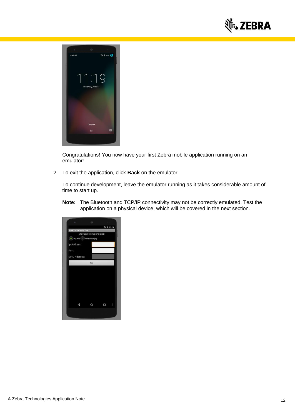



Congratulations! You now have your first Zebra mobile application running on an emulator!

2. To exit the application, click **Back** on the emulator.

To continue development, leave the emulator running as it takes considerable amount of time to start up.

**Note:** The Bluetooth and TCP/IP connectivity may not be correctly emulated. Test the application on a physical device, which will be covered in the next section.

<span id="page-11-0"></span>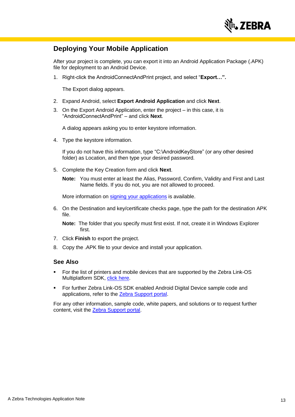

### **Deploying Your Mobile Application**

After your project is complete, you can export it into an Android Application Package (.APK) file for deployment to an Android Device.

1. Right-click the AndroidConnectAndPrint project, and select "**Export…".**

The Export dialog appears.

- 2. Expand Android, select **Export Android Application** and click **Next**.
- 3. On the Export Android Application, enter the project in this case, it is "AndroidConnectAndPrint" – and click **Next**.

A dialog appears asking you to enter keystore information.

4. Type the keystore information.

If you do not have this information, type "C:\AndroidKeyStore" (or any other desired folder) as Location, and then type your desired password.

5. Complete the Key Creation form and click **Next**.

**Note:** You must enter at least the Alias, Password, Confirm, Validity and First and Last Name fields. If you do not, you are not allowed to proceed.

More information on [signing your applications](http://developer.android.com/guide/publishing/app-signing.html) is available.

6. On the Destination and key/certificate checks page, type the path for the destination APK file.

**Note:** The folder that you specify must first exist. If not, create it in Windows Explorer first.

- 7. Click **Finish** to export the project.
- 8. Copy the .APK file to your device and install your application.

#### **See Also**

- For the list of printers and mobile devices that are supported by the Zebra Link-OS Multiplatform SDK, [click here.](https://km.zebra.com/kb/index?page=content&id=WH33)
- For further Zebra Link-OS SDK enabled Android Digital Device sample code and applications, refer to the **Zebra Support portal**.

For any other information, sample code, white papers, and solutions or to request further content, visit the [Zebra Support portal.](http://km.zebra.com/)